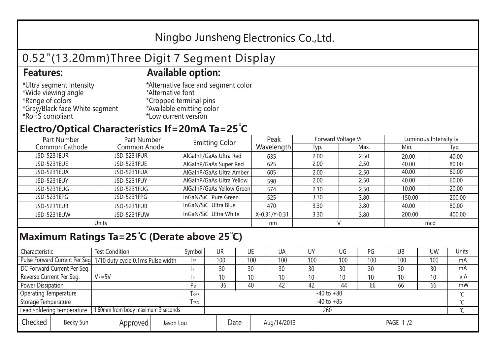## Ningbo Junsheng Electronics Co.,Ltd.

# 0.52"(13.20mm)Three Digit 7 Segment Display

### **Features: Available option:**

- \*Ultra segment intensity \*Wide viewing angle \*Range of colors \*Gray/Black face White segment \*RoHS compliant
- \*Alternative face and segment color \*Alternative font \*Cropped terminal pins \*Available emitting color \*Low current version

### **Electro/Optical Characteristics If=20mA Ta=25 C**

| Part Number    | Part Number        | <b>Emitting Color</b>     | Peak          | Forward Voltage VF |      | Luminous Intensity lv |        |  |
|----------------|--------------------|---------------------------|---------------|--------------------|------|-----------------------|--------|--|
| Common Cathode | Common Anode       |                           | Wavelength    | Typ.               | Max. | Min.                  | Typ.   |  |
| JSD-5231EUR    | <b>JSD-5231FUR</b> | AlGaInP/GaAs Ultra Red    | 635           | 2.00               | 2.50 | 20.00                 | 40.00  |  |
| JSD-5231EUE    | JSD-5231FUE        | AlGaInP/GaAs Super Red    | 625           | 2.00               | 2.50 | 40.00                 | 80.00  |  |
| JSD-5231EUA    | JSD-5231FUA        | AlGaInP/GaAs Ultra Amber  | 605           | 2.00               | 2.50 | 40.00                 | 60.00  |  |
| JSD-5231EUY    | JSD-5231FUY        | AlGaInP/GaAs Ultra Yellow | 590           | 2.00               | 2.50 | 40.00                 | 60.00  |  |
| JSD-5231EUG    | JSD-5231FUG        | AlGaInP/GaAs Yellow Green | 574           | 2.10               | 2.50 | 10.00                 | 20.00  |  |
| JSD-5231EPG    | JSD-5231FPG        | InGaN/SiC Pure Green      | 525           | 3.30               | 3.80 | 150.00                | 200.00 |  |
| JSD-5231EUB    | JSD-5231FUB        | InGaN/SiC Ultra Blue      | 470           | 3.30               | 3.80 | 40.00                 | 80.00  |  |
| JSD-5231EUW    | JSD-5231FUW        | InGaN/SiC Ultra White     | X-0.31/Y-0.31 | 3.30               | 3.80 | 200.00                | 400.00 |  |
| Units          |                    |                           | nm            |                    |      | mcd                   |        |  |

#### **Maximum Ratings Ta=25°C (Derate above 25°C)**

| Characteristic                                |            | <b>Test Condition</b><br>Symbol                                  |                |                     | UR              |  | UE  | UA       | UY  | UG  | PG  | UB              | <b>UW</b> | <b>Units</b> |
|-----------------------------------------------|------------|------------------------------------------------------------------|----------------|---------------------|-----------------|--|-----|----------|-----|-----|-----|-----------------|-----------|--------------|
|                                               |            | Pulse Forward Current Per Seg. 1/10 duty cycle 0.1ms Pulse width |                |                     | 100             |  | 100 | 100      | 100 | 100 | 100 | 100             | 100       | mA           |
| DC Forward Current Per Seg.                   |            |                                                                  |                |                     | 30              |  | 30  | 30       | 30  | 30  | 30  | 30              | 30        | mA           |
| Reverse Current Per Seg.                      | $V_R = 5V$ |                                                                  |                | I R                 | 10 <sup>°</sup> |  | 10  | 10       | 10  | 10  | 10  | 10 <sup>°</sup> | 10        | $\mu$ A      |
| <b>Power Dissipation</b>                      |            |                                                                  |                |                     | 36              |  | 40  | 42       | 42  | 44  | 66  | 66              | 66        | mW           |
| <b>Operating Temperature</b>                  |            |                                                                  | <b>OPR</b>     |                     | $-40$ to $+80$  |  |     |          |     |     |     |                 |           |              |
| Storage Temperature                           |            | <b>I</b> TSG                                                     | $-40$ to $+85$ |                     |                 |  |     |          |     |     |     | $\sim$          |           |              |
| Lead soldering temperature                    |            | 1.60mm from body maximum 3 seconds                               |                |                     | 260<br>$\gamma$ |  |     |          |     |     |     |                 |           |              |
| Checked<br>Becky Sun<br>Approved<br>Jason Lou |            |                                                                  |                | Date<br>Aug/14/2013 |                 |  |     | PAGE 1/2 |     |     |     |                 |           |              |